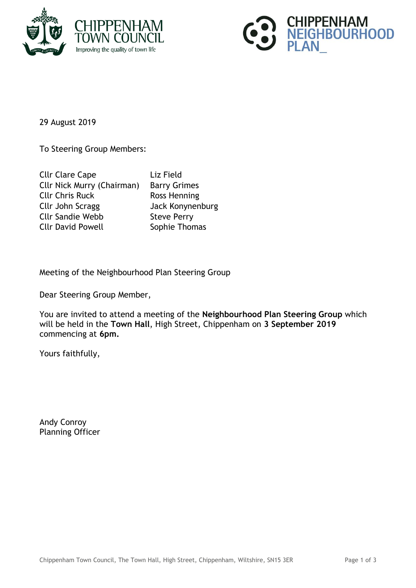



29 August 2019

To Steering Group Members:

| Cllr Clare Cape                   | Liz Field           |
|-----------------------------------|---------------------|
| <b>Cllr Nick Murry (Chairman)</b> | <b>Barry Grimes</b> |
| <b>Cllr Chris Ruck</b>            | Ross Henning        |
| Cllr John Scragg                  | Jack Konynenburg    |
| <b>Cllr Sandie Webb</b>           | <b>Steve Perry</b>  |
| <b>Cllr David Powell</b>          | Sophie Thomas       |
|                                   |                     |

Meeting of the Neighbourhood Plan Steering Group

Dear Steering Group Member,

You are invited to attend a meeting of the **Neighbourhood Plan Steering Group** which will be held in the **Town Hall**, High Street, Chippenham on **3 September 2019** commencing at **6pm.**

Yours faithfully,

Andy Conroy Planning Officer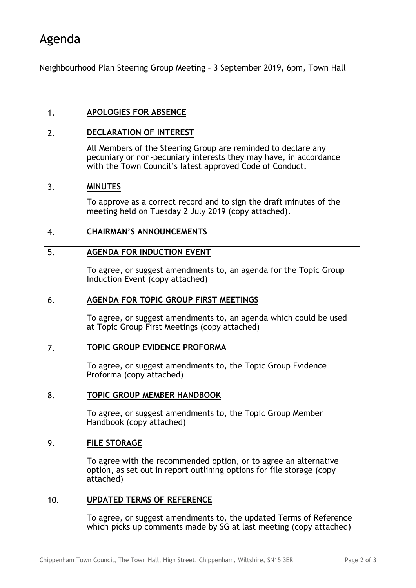## Agenda

Neighbourhood Plan Steering Group Meeting – 3 September 2019, 6pm, Town Hall

| 1.  | <b>APOLOGIES FOR ABSENCE</b>                                                                                                                                                                   |
|-----|------------------------------------------------------------------------------------------------------------------------------------------------------------------------------------------------|
| 2.  | DECLARATION OF INTEREST                                                                                                                                                                        |
|     | All Members of the Steering Group are reminded to declare any<br>pecuniary or non-pecuniary interests they may have, in accordance<br>with the Town Council's latest approved Code of Conduct. |
| 3.  | <b>MINUTES</b>                                                                                                                                                                                 |
|     | To approve as a correct record and to sign the draft minutes of the<br>meeting held on Tuesday 2 July 2019 (copy attached).                                                                    |
| 4.  | <b>CHAIRMAN'S ANNOUNCEMENTS</b>                                                                                                                                                                |
| 5.  | <b>AGENDA FOR INDUCTION EVENT</b>                                                                                                                                                              |
|     | To agree, or suggest amendments to, an agenda for the Topic Group<br>Induction Event (copy attached)                                                                                           |
| 6.  | <b>AGENDA FOR TOPIC GROUP FIRST MEETINGS</b>                                                                                                                                                   |
|     | To agree, or suggest amendments to, an agenda which could be used<br>at Topic Group First Meetings (copy attached)                                                                             |
| 7.  | <b>TOPIC GROUP EVIDENCE PROFORMA</b>                                                                                                                                                           |
|     | To agree, or suggest amendments to, the Topic Group Evidence<br>Proforma (copy attached)                                                                                                       |
| 8.  | TOPIC GROUP MEMBER HANDBOOK                                                                                                                                                                    |
|     | To agree, or suggest amendments to, the Topic Group Member<br>Handbook (copy attached)                                                                                                         |
| 9.  | <b>FILE STORAGE</b>                                                                                                                                                                            |
|     | To agree with the recommended option, or to agree an alternative<br>option, as set out in report outlining options for file storage (copy<br>attached)                                         |
| 10. | <b>UPDATED TERMS OF REFERENCE</b>                                                                                                                                                              |
|     | To agree, or suggest amendments to, the updated Terms of Reference<br>which picks up comments made by SG at last meeting (copy attached)                                                       |